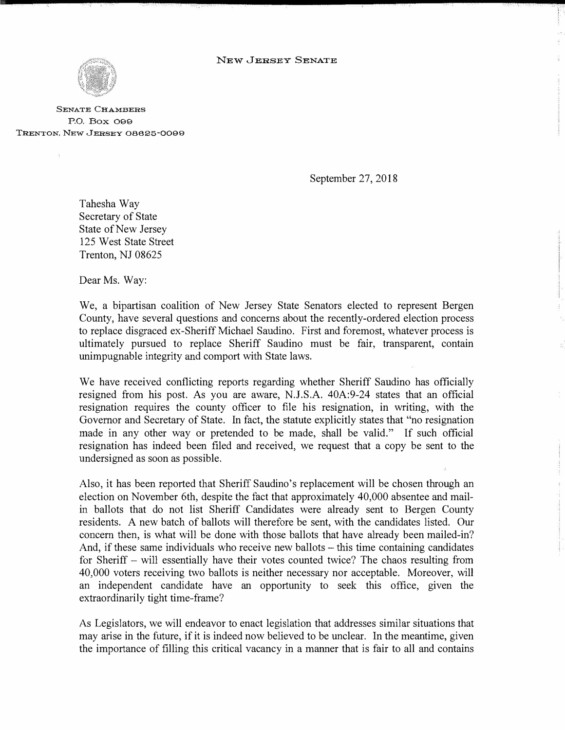

**SENATE CHAMBERS**  P.O. Box 099 TRENTON, NEW JERSEY 08625-0099

September 27, 2018

Tahesha Way Secretary of State State of New Jersey 125 West State Street Trenton, NJ 08625

Dear Ms. Way:

We, a bipartisan coalition of New Jersey State Senators elected to represent Bergen County, have several questions and concerns about the recently-ordered election process to replace disgraced ex-Sheriff Michael Sandino. First and foremost, whatever process is ultimately pursued to replace Sheriff Sandino must be fair, transparent, contain unimpugnable integrity and comport with State laws.

We have received conflicting reports regarding whether Sheriff Sandino has officially resigned from his post. As you are aware, N.J.S.A. 40A:9-24 states that an official resignation requires the county officer to file his resignation, in writing, with the Governor and Secretary of State. In fact, the statute explicitly states that "no resignation made in any other way or pretended to be made, shall be valid." If such official resignation has indeed been filed and received, we request that a copy be sent to the undersigned as soon as possible.

Also, it has been reported that Sheriff Saudino's replacement will be chosen through an election on November 6th, despite the fact that approximately 40,000 absentee and mailin ballots that do not list Sheriff Candidates were already sent to Bergen County residents. A new batch of ballots will therefore be sent, with the candidates listed. Our concern then, is what will be done with those ballots that have already been mailed-in? And, if these same individuals who receive new ballots – this time containing candidates for Sheriff – will essentially have their votes counted twice? The chaos resulting from 40,000 voters receiving two ballots is neither necessary nor acceptable. Moreover, will an independent candidate have an opportunity to seek this office, given the extraordinarily tight time-frame?

As Legislators, we will endeavor to enact legislation that addresses similar situations that may arise in the future, if it is indeed now believed to be unclear. In the meantime, given the importance of filling this critical vacancy in a manner that is fair to all and contains